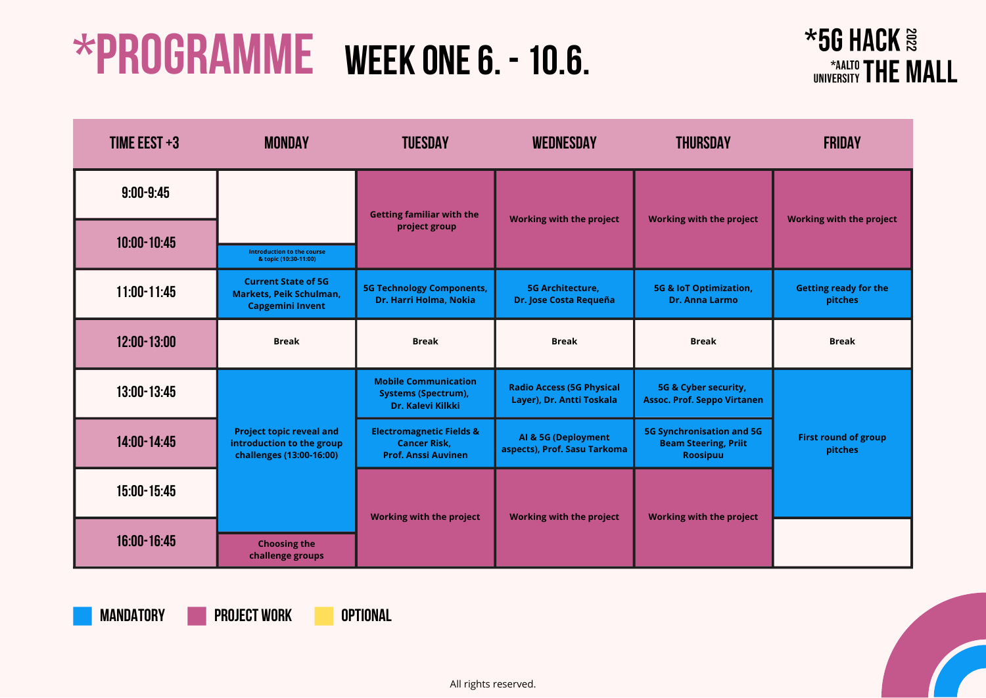### $*56$  HACK $\approx$ UNIVERSITY THE MALL

**MANDATORY project work optional**

| TIME EEST $+3$  | <b>MONDAY</b>                                                                            | <b>TUESDAY</b>                                                                           | <b>WEDNESDAY</b>                                              | <b>THURSDAY</b>                                                                    | <b>FRIDAY</b>                           |
|-----------------|------------------------------------------------------------------------------------------|------------------------------------------------------------------------------------------|---------------------------------------------------------------|------------------------------------------------------------------------------------|-----------------------------------------|
| $9:00 - 9:45$   |                                                                                          | <b>Getting familiar with the</b>                                                         |                                                               |                                                                                    |                                         |
| $10:00 - 10:45$ | Introduction to the course<br>& topic (10:30-11:00)                                      | project group                                                                            | <b>Working with the project</b>                               | <b>Working with the project</b>                                                    | <b>Working with the project</b>         |
| $11:00 - 11:45$ | <b>Current State of 5G</b><br><b>Markets, Peik Schulman,</b><br><b>Capgemini Invent</b>  | <b>5G Technology Components,</b><br>Dr. Harri Holma, Nokia                               | <b>5G Architecture,</b><br>Dr. Jose Costa Requeña             | <b>5G &amp; IoT Optimization,</b><br><b>Dr. Anna Larmo</b>                         | <b>Getting ready for the</b><br>pitches |
| 12:00-13:00     | <b>Break</b>                                                                             | <b>Break</b>                                                                             | <b>Break</b>                                                  | <b>Break</b>                                                                       | <b>Break</b>                            |
| 13:00-13:45     |                                                                                          | <b>Mobile Communication</b><br><b>Systems (Spectrum),</b><br>Dr. Kalevi Kilkki           | <b>Radio Access (5G Physical</b><br>Layer), Dr. Antti Toskala | 5G & Cyber security,<br><b>Assoc. Prof. Seppo Virtanen</b>                         |                                         |
| $14:00 - 14:45$ | <b>Project topic reveal and</b><br>introduction to the group<br>challenges (13:00-16:00) | <b>Electromagnetic Fields &amp;</b><br><b>Cancer Risk,</b><br><b>Prof. Anssi Auvinen</b> | AI & 5G (Deployment<br>aspects), Prof. Sasu Tarkoma           | <b>5G Synchronisation and 5G</b><br><b>Beam Steering, Priit</b><br><b>Roosipuu</b> | <b>First round of group</b><br>pitches  |
| 15:00-15:45     |                                                                                          |                                                                                          |                                                               | <b>Working with the project</b>                                                    |                                         |
| $16:00 - 16:45$ | <b>Choosing the</b><br>challenge groups                                                  | <b>Working with the project</b>                                                          | <b>Working with the project</b>                               |                                                                                    |                                         |

| ect             | <b>Working with the project</b>         |
|-----------------|-----------------------------------------|
| 'n,             | <b>Getting ready for the</b><br>pitches |
|                 | <b>Break</b>                            |
| nen<br>15G<br>t | <b>First round of group</b><br>pitches  |
|                 |                                         |



# **\*Programme Week one6. -10.6.**